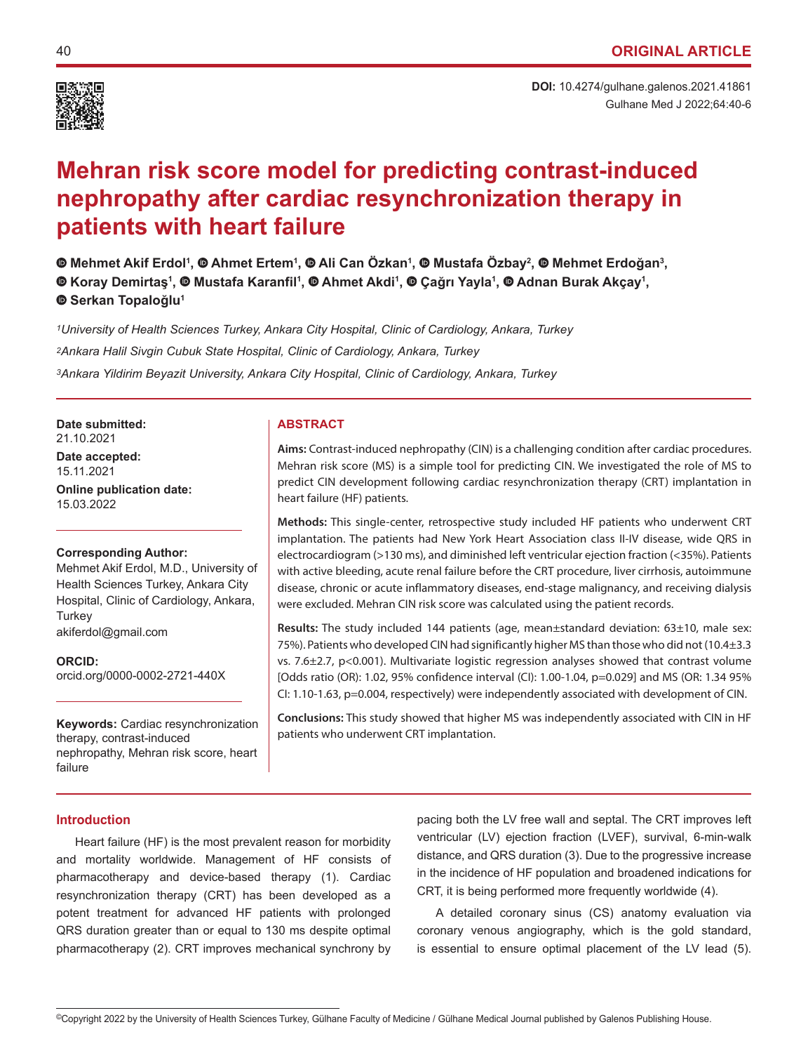

# **Mehran risk score model for predicting contrast-induced nephropathy after cardiac resynchronization therapy in patients with heart failure**

**Mehmet Akif Erdol1 ,Ahmet Ertem1 ,Ali Can Özkan<sup>1</sup> ,Mustafa Özbay<sup>2</sup> ,Mehmet Erdoğan<sup>3</sup> , i**Koray Demirtaş<sup>1</sup>, © Mustafa Karanfil<sup>1</sup>, © Ahmet Akdi<sup>1</sup>, © Çağrı Yayla<sup>1</sup>, © Adnan Burak Akçay<sup>1</sup>, **Serkan Topaloğlu<sup>1</sup>**

*1University of Health Sciences Turkey, Ankara City Hospital, Clinic of Cardiology, Ankara, Turkey 2Ankara Halil Sivgin Cubuk State Hospital, Clinic of Cardiology, Ankara, Turkey 3Ankara Yildirim Beyazit University, Ankara City Hospital, Clinic of Cardiology, Ankara, Turkey*

**Date submitted: ABSTRACT** 21.10.2021

**Date accepted:** 15.11.2021

**Online publication date:** 15.03.2022

# **Corresponding Author:**

Mehmet Akif Erdol, M.D., University of Health Sciences Turkey, Ankara City Hospital, Clinic of Cardiology, Ankara, **Turkey** akiferdol@gmail.com

**ORCID:**  orcid.org/0000-0002-2721-440X

**Keywords:** Cardiac resynchronization therapy, contrast-induced nephropathy, Mehran risk score, heart failure

**Aims:** Contrast-induced nephropathy (CIN) is a challenging condition after cardiac procedures. Mehran risk score (MS) is a simple tool for predicting CIN. We investigated the role of MS to predict CIN development following cardiac resynchronization therapy (CRT) implantation in heart failure (HF) patients.

**Methods:** This single-center, retrospective study included HF patients who underwent CRT implantation. The patients had New York Heart Association class II-IV disease, wide QRS in electrocardiogram (>130 ms), and diminished left ventricular ejection fraction (<35%). Patients with active bleeding, acute renal failure before the CRT procedure, liver cirrhosis, autoimmune disease, chronic or acute inflammatory diseases, end-stage malignancy, and receiving dialysis were excluded. Mehran CIN risk score was calculated using the patient records.

**Results:** The study included 144 patients (age, mean±standard deviation: 63±10, male sex: 75%). Patients who developed CIN had significantly higher MS than those who did not (10.4±3.3 vs. 7.6±2.7, p<0.001). Multivariate logistic regression analyses showed that contrast volume [Odds ratio (OR): 1.02, 95% confidence interval (CI): 1.00-1.04, p=0.029] and MS (OR: 1.34 95% CI: 1.10-1.63, p=0.004, respectively) were independently associated with development of CIN.

**Conclusions:** This study showed that higher MS was independently associated with CIN in HF patients who underwent CRT implantation.

# **Introduction**

Heart failure (HF) is the most prevalent reason for morbidity and mortality worldwide. Management of HF consists of pharmacotherapy and device-based therapy (1). Cardiac resynchronization therapy (CRT) has been developed as a potent treatment for advanced HF patients with prolonged QRS duration greater than or equal to 130 ms despite optimal pharmacotherapy (2). CRT improves mechanical synchrony by

pacing both the LV free wall and septal. The CRT improves left ventricular (LV) ejection fraction (LVEF), survival, 6-min-walk distance, and QRS duration (3). Due to the progressive increase in the incidence of HF population and broadened indications for CRT, it is being performed more frequently worldwide (4).

A detailed coronary sinus (CS) anatomy evaluation via coronary venous angiography, which is the gold standard, is essential to ensure optimal placement of the LV lead (5).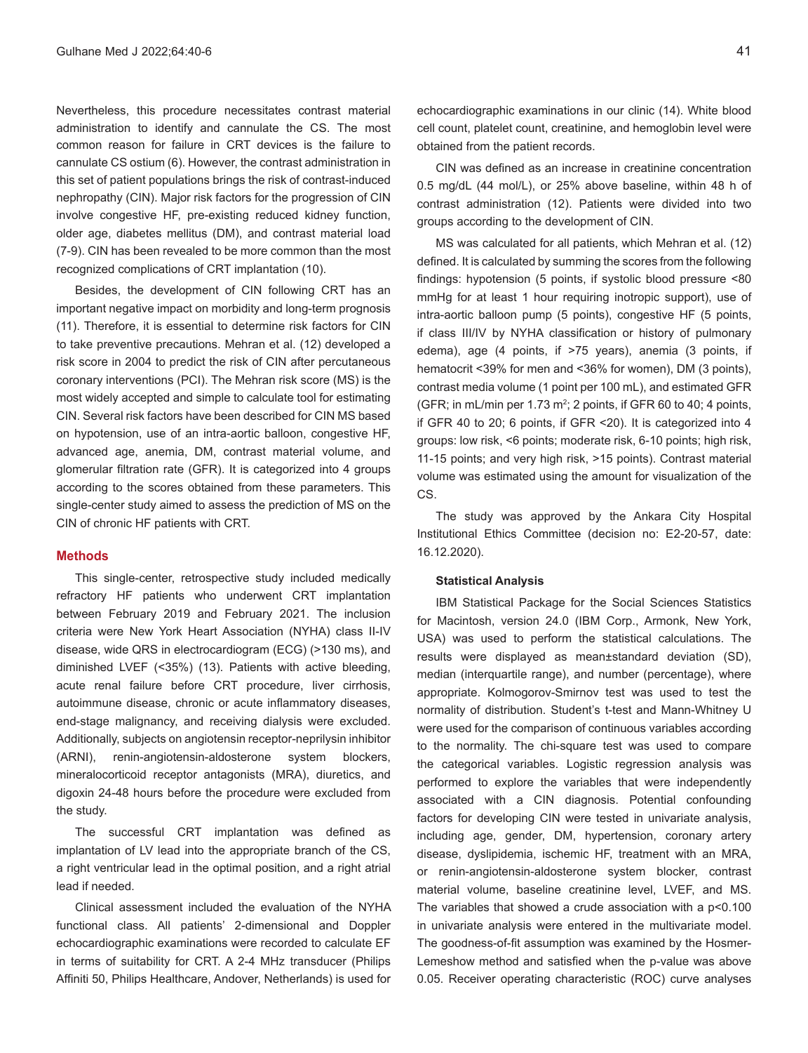Nevertheless, this procedure necessitates contrast material administration to identify and cannulate the CS. The most common reason for failure in CRT devices is the failure to cannulate CS ostium (6). However, the contrast administration in this set of patient populations brings the risk of contrast-induced nephropathy (CIN). Major risk factors for the progression of CIN involve congestive HF, pre-existing reduced kidney function, older age, diabetes mellitus (DM), and contrast material load (7-9). CIN has been revealed to be more common than the most recognized complications of CRT implantation (10).

Besides, the development of CIN following CRT has an important negative impact on morbidity and long-term prognosis (11). Therefore, it is essential to determine risk factors for CIN to take preventive precautions. Mehran et al. (12) developed a risk score in 2004 to predict the risk of CIN after percutaneous coronary interventions (PCI). The Mehran risk score (MS) is the most widely accepted and simple to calculate tool for estimating CIN. Several risk factors have been described for CIN MS based on hypotension, use of an intra-aortic balloon, congestive HF, advanced age, anemia, DM, contrast material volume, and glomerular filtration rate (GFR). It is categorized into 4 groups according to the scores obtained from these parameters. This single-center study aimed to assess the prediction of MS on the CIN of chronic HF patients with CRT.

#### **Methods**

This single-center, retrospective study included medically refractory HF patients who underwent CRT implantation between February 2019 and February 2021. The inclusion criteria were New York Heart Association (NYHA) class II-IV disease, wide QRS in electrocardiogram (ECG) (>130 ms), and diminished LVEF (<35%) (13). Patients with active bleeding, acute renal failure before CRT procedure, liver cirrhosis, autoimmune disease, chronic or acute inflammatory diseases, end-stage malignancy, and receiving dialysis were excluded. Additionally, subjects on angiotensin receptor-neprilysin inhibitor (ARNI), renin-angiotensin-aldosterone system blockers, mineralocorticoid receptor antagonists (MRA), diuretics, and digoxin 24-48 hours before the procedure were excluded from the study.

The successful CRT implantation was defined as implantation of LV lead into the appropriate branch of the CS, a right ventricular lead in the optimal position, and a right atrial lead if needed.

Clinical assessment included the evaluation of the NYHA functional class. All patients' 2-dimensional and Doppler echocardiographic examinations were recorded to calculate EF in terms of suitability for CRT. A 2-4 MHz transducer (Philips Affiniti 50, Philips Healthcare, Andover, Netherlands) is used for

echocardiographic examinations in our clinic (14). White blood cell count, platelet count, creatinine, and hemoglobin level were obtained from the patient records.

CIN was defined as an increase in creatinine concentration 0.5 mg/dL (44 mol/L), or 25% above baseline, within 48 h of contrast administration (12). Patients were divided into two groups according to the development of CIN.

MS was calculated for all patients, which Mehran et al. (12) defined. It is calculated by summing the scores from the following findings: hypotension (5 points, if systolic blood pressure <80 mmHg for at least 1 hour requiring inotropic support), use of intra-aortic balloon pump (5 points), congestive HF (5 points, if class III/IV by NYHA classification or history of pulmonary edema), age (4 points, if >75 years), anemia (3 points, if hematocrit <39% for men and <36% for women), DM (3 points), contrast media volume (1 point per 100 mL), and estimated GFR (GFR; in mL/min per 1.73 m<sup>2</sup>; 2 points, if GFR 60 to 40; 4 points, if GFR 40 to 20; 6 points, if GFR <20). It is categorized into 4 groups: low risk, <6 points; moderate risk, 6-10 points; high risk, 11-15 points; and very high risk, >15 points). Contrast material volume was estimated using the amount for visualization of the CS.

The study was approved by the Ankara City Hospital Institutional Ethics Committee (decision no: E2-20-57, date: 16.12.2020).

### **Statistical Analysis**

IBM Statistical Package for the Social Sciences Statistics for Macintosh, version 24.0 (IBM Corp., Armonk, New York, USA) was used to perform the statistical calculations. The results were displayed as mean±standard deviation (SD), median (interquartile range), and number (percentage), where appropriate. Kolmogorov-Smirnov test was used to test the normality of distribution. Student's t-test and Mann-Whitney U were used for the comparison of continuous variables according to the normality. The chi-square test was used to compare the categorical variables. Logistic regression analysis was performed to explore the variables that were independently associated with a CIN diagnosis. Potential confounding factors for developing CIN were tested in univariate analysis, including age, gender, DM, hypertension, coronary artery disease, dyslipidemia, ischemic HF, treatment with an MRA, or renin-angiotensin-aldosterone system blocker, contrast material volume, baseline creatinine level, LVEF, and MS. The variables that showed a crude association with a p<0.100 in univariate analysis were entered in the multivariate model. The goodness-of-fit assumption was examined by the Hosmer-Lemeshow method and satisfied when the p-value was above 0.05. Receiver operating characteristic (ROC) curve analyses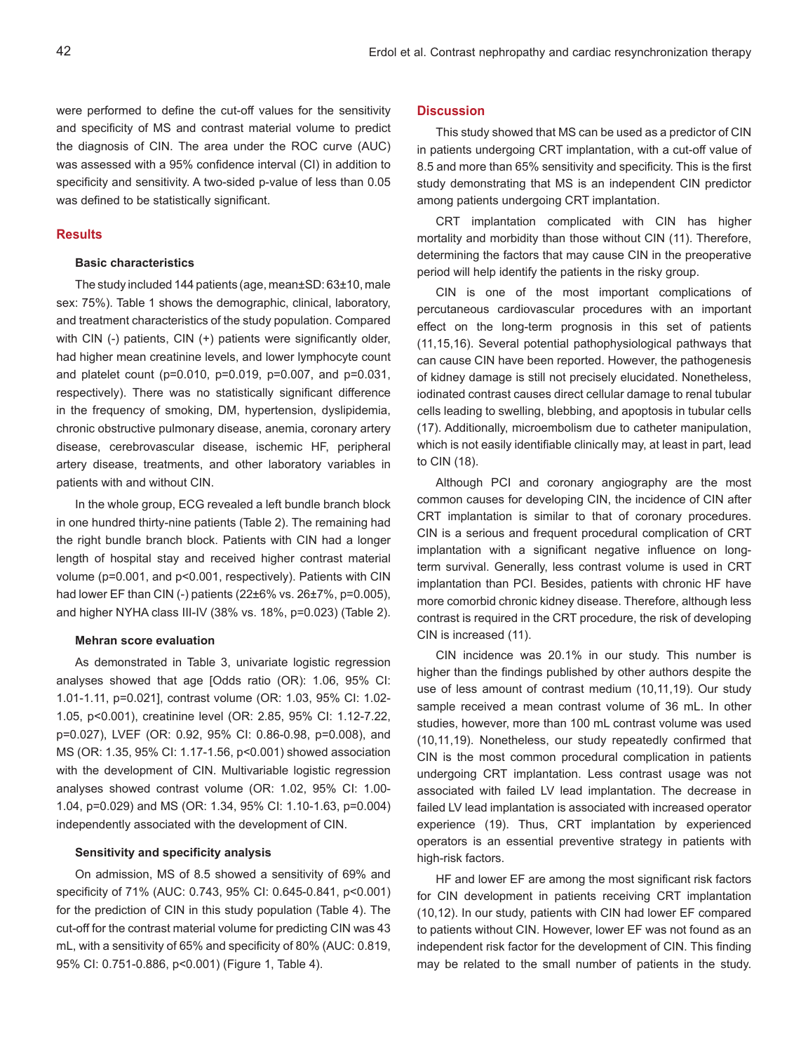were performed to define the cut-off values for the sensitivity and specificity of MS and contrast material volume to predict the diagnosis of CIN. The area under the ROC curve (AUC) was assessed with a 95% confidence interval (CI) in addition to specificity and sensitivity. A two-sided p-value of less than 0.05 was defined to be statistically significant.

#### **Results**

# **Basic characteristics**

The study included 144 patients (age, mean±SD: 63±10, male sex: 75%). Table 1 shows the demographic, clinical, laboratory, and treatment characteristics of the study population. Compared with CIN (-) patients, CIN (+) patients were significantly older, had higher mean creatinine levels, and lower lymphocyte count and platelet count (p=0.010, p=0.019, p=0.007, and p=0.031, respectively). There was no statistically significant difference in the frequency of smoking, DM, hypertension, dyslipidemia, chronic obstructive pulmonary disease, anemia, coronary artery disease, cerebrovascular disease, ischemic HF, peripheral artery disease, treatments, and other laboratory variables in patients with and without CIN.

In the whole group, ECG revealed a left bundle branch block in one hundred thirty-nine patients (Table 2). The remaining had the right bundle branch block. Patients with CIN had a longer length of hospital stay and received higher contrast material volume (p=0.001, and p<0.001, respectively). Patients with CIN had lower EF than CIN (-) patients (22±6% vs. 26±7%, p=0.005), and higher NYHA class III-IV (38% vs. 18%, p=0.023) (Table 2).

# **Mehran score evaluation**

As demonstrated in Table 3, univariate logistic regression analyses showed that age [Odds ratio (OR): 1.06, 95% CI: 1.01-1.11, p=0.021], contrast volume (OR: 1.03, 95% CI: 1.02- 1.05, p<0.001), creatinine level (OR: 2.85, 95% CI: 1.12-7.22, p=0.027), LVEF (OR: 0.92, 95% CI: 0.86-0.98, p=0.008), and MS (OR: 1.35, 95% CI: 1.17-1.56, p<0.001) showed association with the development of CIN. Multivariable logistic regression analyses showed contrast volume (OR: 1.02, 95% CI: 1.00- 1.04, p=0.029) and MS (OR: 1.34, 95% CI: 1.10-1.63, p=0.004) independently associated with the development of CIN.

# **Sensitivity and specificity analysis**

On admission, MS of 8.5 showed a sensitivity of 69% and specificity of 71% (AUC: 0.743, 95% CI: 0.645-0.841, p<0.001) for the prediction of CIN in this study population (Table 4). The cut-off for the contrast material volume for predicting CIN was 43 mL, with a sensitivity of 65% and specificity of 80% (AUC: 0.819, 95% CI: 0.751-0.886, p<0.001) (Figure 1, Table 4).

# **Discussion**

This study showed that MS can be used as a predictor of CIN in patients undergoing CRT implantation, with a cut-off value of 8.5 and more than 65% sensitivity and specificity. This is the first study demonstrating that MS is an independent CIN predictor among patients undergoing CRT implantation.

CRT implantation complicated with CIN has higher mortality and morbidity than those without CIN (11). Therefore, determining the factors that may cause CIN in the preoperative period will help identify the patients in the risky group.

CIN is one of the most important complications of percutaneous cardiovascular procedures with an important effect on the long-term prognosis in this set of patients (11,15,16). Several potential pathophysiological pathways that can cause CIN have been reported. However, the pathogenesis of kidney damage is still not precisely elucidated. Nonetheless, iodinated contrast causes direct cellular damage to renal tubular cells leading to swelling, blebbing, and apoptosis in tubular cells (17). Additionally, microembolism due to catheter manipulation, which is not easily identifiable clinically may, at least in part, lead to CIN (18).

Although PCI and coronary angiography are the most common causes for developing CIN, the incidence of CIN after CRT implantation is similar to that of coronary procedures. CIN is a serious and frequent procedural complication of CRT implantation with a significant negative influence on longterm survival. Generally, less contrast volume is used in CRT implantation than PCI. Besides, patients with chronic HF have more comorbid chronic kidney disease. Therefore, although less contrast is required in the CRT procedure, the risk of developing CIN is increased (11).

CIN incidence was 20.1% in our study. This number is higher than the findings published by other authors despite the use of less amount of contrast medium (10,11,19). Our study sample received a mean contrast volume of 36 mL. In other studies, however, more than 100 mL contrast volume was used (10,11,19). Nonetheless, our study repeatedly confirmed that CIN is the most common procedural complication in patients undergoing CRT implantation. Less contrast usage was not associated with failed LV lead implantation. The decrease in failed LV lead implantation is associated with increased operator experience (19). Thus, CRT implantation by experienced operators is an essential preventive strategy in patients with high-risk factors.

HF and lower EF are among the most significant risk factors for CIN development in patients receiving CRT implantation (10,12). In our study, patients with CIN had lower EF compared to patients without CIN. However, lower EF was not found as an independent risk factor for the development of CIN. This finding may be related to the small number of patients in the study.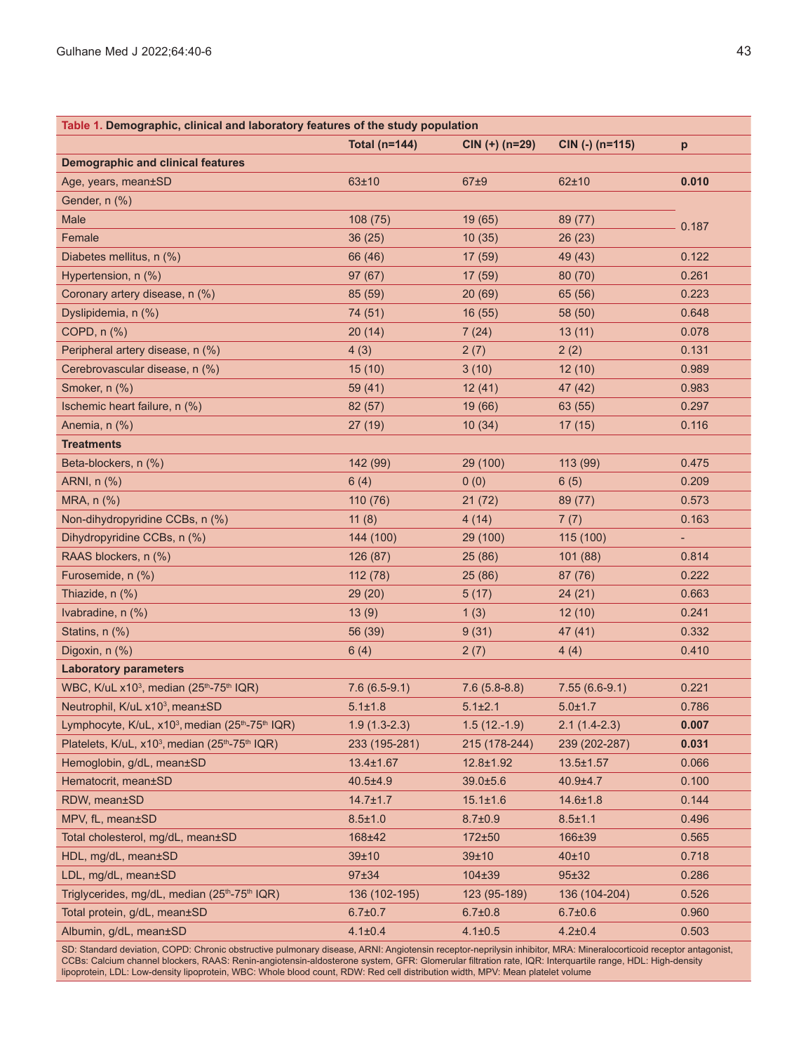| Table 1. Demographic, clinical and laboratory features of the study population       |                      |                  |                   |                |  |
|--------------------------------------------------------------------------------------|----------------------|------------------|-------------------|----------------|--|
|                                                                                      | <b>Total (n=144)</b> | $CIN (+) (n=29)$ | $CIN$ (-) (n=115) | p              |  |
| <b>Demographic and clinical features</b>                                             |                      |                  |                   |                |  |
| Age, years, mean±SD                                                                  | 63±10                | 67±9             | 62±10             | 0.010          |  |
| Gender, n (%)                                                                        |                      |                  |                   |                |  |
| Male                                                                                 | 108 (75)             | 19(65)           | 89 (77)           | 0.187          |  |
| Female                                                                               | 36(25)               | 10(35)           | 26(23)            |                |  |
| Diabetes mellitus, n (%)                                                             | 66 (46)              | 17(59)           | 49 (43)           | 0.122          |  |
| Hypertension, n (%)                                                                  | 97(67)               | 17(59)           | 80(70)            | 0.261          |  |
| Coronary artery disease, n (%)                                                       | 85 (59)              | 20(69)           | 65 (56)           | 0.223          |  |
| Dyslipidemia, n (%)                                                                  | 74 (51)              | 16(55)           | 58 (50)           | 0.648          |  |
| COPD, n (%)                                                                          | 20(14)               | 7(24)            | 13(11)            | 0.078          |  |
| Peripheral artery disease, n (%)                                                     | 4(3)                 | 2(7)             | 2(2)              | 0.131          |  |
| Cerebrovascular disease, n (%)                                                       | 15(10)               | 3(10)            | 12(10)            | 0.989          |  |
| Smoker, n (%)                                                                        | 59 (41)              | 12(41)           | 47 (42)           | 0.983          |  |
| Ischemic heart failure, n (%)                                                        | 82 (57)              | 19 (66)          | 63 (55)           | 0.297          |  |
| Anemia, n (%)                                                                        | 27 (19)              | 10(34)           | 17(15)            | 0.116          |  |
| <b>Treatments</b>                                                                    |                      |                  |                   |                |  |
| Beta-blockers, n (%)                                                                 | 142 (99)             | 29 (100)         | 113 (99)          | 0.475          |  |
| ARNI, n (%)                                                                          | 6(4)                 | 0(0)             | 6(5)              | 0.209          |  |
| MRA, n (%)                                                                           | 110 (76)             | 21(72)           | 89 (77)           | 0.573          |  |
| Non-dihydropyridine CCBs, n (%)                                                      | 11(8)                | 4(14)            | 7(7)              | 0.163          |  |
| Dihydropyridine CCBs, n (%)                                                          | 144 (100)            | 29 (100)         | 115 (100)         | $\blacksquare$ |  |
| RAAS blockers, n (%)                                                                 | 126 (87)             | 25(86)           | 101 (88)          | 0.814          |  |
| Furosemide, n (%)                                                                    | 112 (78)             | 25(86)           | 87 (76)           | 0.222          |  |
| Thiazide, n (%)                                                                      | 29(20)               | 5(17)            | 24(21)            | 0.663          |  |
| Ivabradine, n (%)                                                                    | 13(9)                | 1(3)             | 12(10)            | 0.241          |  |
| Statins, n (%)                                                                       | 56 (39)              | 9(31)            | 47(41)            | 0.332          |  |
| Digoxin, n (%)                                                                       | 6(4)                 | 2(7)             | 4(4)              | 0.410          |  |
| <b>Laboratory parameters</b>                                                         |                      |                  |                   |                |  |
| WBC, K/uL x10 <sup>3</sup> , median (25 <sup>th</sup> -75 <sup>th</sup> IQR)         | $7.6(6.5-9.1)$       | $7.6(5.8-8.8)$   | $7.55(6.6-9.1)$   | 0.221          |  |
| Neutrophil, K/uL x10 <sup>3</sup> , mean±SD                                          | $5.1 \pm 1.8$        | $5.1 \pm 2.1$    | $5.0 \pm 1.7$     | 0.786          |  |
| Lymphocyte, K/uL, x10 <sup>3</sup> , median (25 <sup>th</sup> -75 <sup>th</sup> IQR) | $1.9(1.3-2.3)$       | $1.5(12.-1.9)$   | $2.1(1.4-2.3)$    | 0.007          |  |
| Platelets, K/uL, x10 <sup>3</sup> , median (25 <sup>th</sup> -75 <sup>th</sup> IQR)  | 233 (195-281)        | 215 (178-244)    | 239 (202-287)     | 0.031          |  |
| Hemoglobin, g/dL, mean±SD                                                            | $13.4 \pm 1.67$      | $12.8 \pm 1.92$  | $13.5 \pm 1.57$   | 0.066          |  |
| Hematocrit, mean±SD                                                                  | $40.5 \pm 4.9$       | $39.0 \pm 5.6$   | $40.9 + 4.7$      | 0.100          |  |
| RDW, mean±SD                                                                         | $14.7 \pm 1.7$       | $15.1 \pm 1.6$   | $14.6 \pm 1.8$    | 0.144          |  |
| MPV, fL, mean±SD                                                                     | $8.5 \pm 1.0$        | $8.7 \pm 0.9$    | $8.5 \pm 1.1$     | 0.496          |  |
| Total cholesterol, mg/dL, mean±SD                                                    | 168±42               | $172 + 50$       | 166±39            | 0.565          |  |
| HDL, mg/dL, mean±SD                                                                  | 39±10                | 39±10            | 40±10             | 0.718          |  |
| LDL, mg/dL, mean±SD                                                                  | 97±34                | $104 \pm 39$     | 95±32             | 0.286          |  |
| Triglycerides, mg/dL, median (25th-75th IQR)                                         | 136 (102-195)        | 123 (95-189)     | 136 (104-204)     | 0.526          |  |
| Total protein, g/dL, mean±SD                                                         | $6.7 \pm 0.7$        | $6.7 \pm 0.8$    | $6.7 \pm 0.6$     | 0.960          |  |
| Albumin, g/dL, mean±SD                                                               | $4.1 \pm 0.4$        | $4.1 \pm 0.5$    | $4.2 \pm 0.4$     | 0.503          |  |

SD: Standard deviation, COPD: Chronic obstructive pulmonary disease, ARNI: Angiotensin receptor-neprilysin inhibitor, MRA: Mineralocorticoid receptor antagonist, CCBs: Calcium channel blockers, RAAS: Renin-angiotensin-aldosterone system, GFR: Glomerular filtration rate, IQR: Interquartile range, HDL: High-density lipoprotein, LDL: Low-density lipoprotein, WBC: Whole blood count, RDW: Red cell distribution width, MPV: Mean platelet volume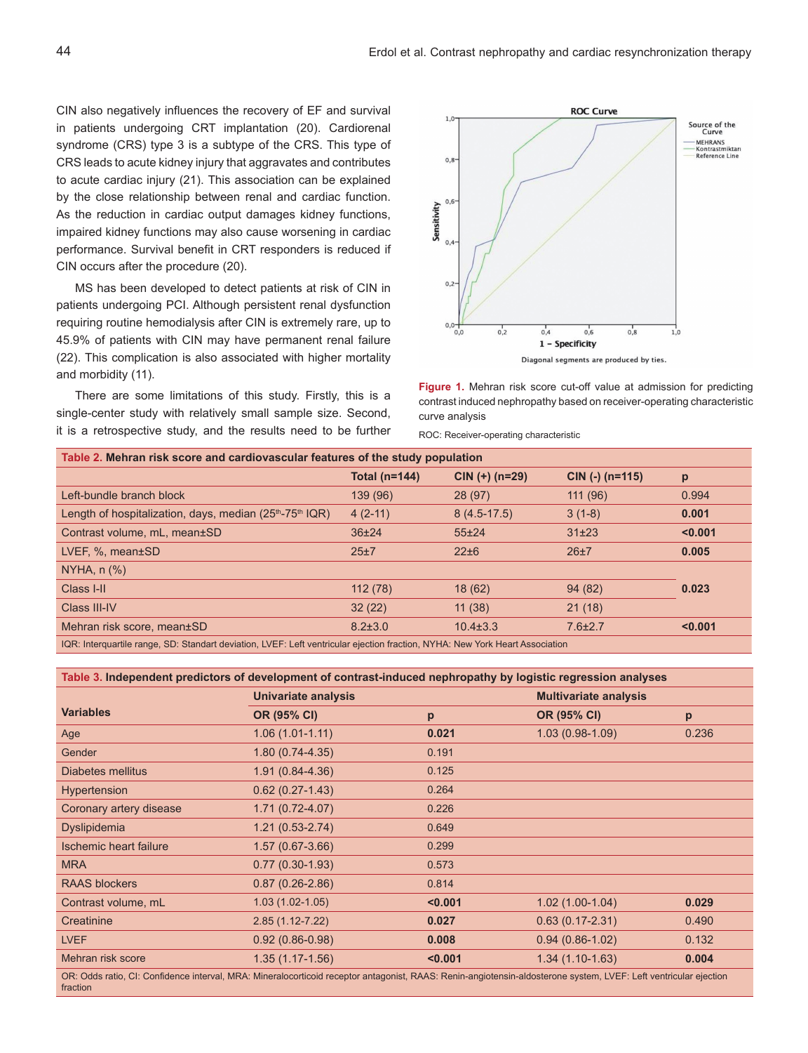CIN also negatively influences the recovery of EF and survival in patients undergoing CRT implantation (20). Cardiorenal syndrome (CRS) type 3 is a subtype of the CRS. This type of CRS leads to acute kidney injury that aggravates and contributes to acute cardiac injury (21). This association can be explained by the close relationship between renal and cardiac function. As the reduction in cardiac output damages kidney functions, impaired kidney functions may also cause worsening in cardiac performance. Survival benefit in CRT responders is reduced if CIN occurs after the procedure (20).

MS has been developed to detect patients at risk of CIN in patients undergoing PCI. Although persistent renal dysfunction requiring routine hemodialysis after CIN is extremely rare, up to 45.9% of patients with CIN may have permanent renal failure (22). This complication is also associated with higher mortality and morbidity (11).

There are some limitations of this study. Firstly, this is a single-center study with relatively small sample size. Second, it is a retrospective study, and the results need to be further



**Figure 1.** Mehran risk score cut-off value at admission for predicting contrast induced nephropathy based on receiver-operating characteristic curve analysis

ROC: Receiver-operating characteristic

| Table 2. Mehran risk score and cardiovascular features of the study population                               |                      |                  |                   |         |  |
|--------------------------------------------------------------------------------------------------------------|----------------------|------------------|-------------------|---------|--|
|                                                                                                              | <b>Total (n=144)</b> | $CIN (+) (n=29)$ | $CIN$ (-) (n=115) | p       |  |
| Left-bundle branch block                                                                                     | 139 (96)             | 28(97)           | 111(96)           | 0.994   |  |
| Length of hospitalization, days, median $(25th-75th IQR)$                                                    | $4(2-11)$            | $8(4.5-17.5)$    | $3(1-8)$          | 0.001   |  |
| Contrast volume, mL, mean±SD                                                                                 | $36 + 24$            | $55 + 24$        | $31 + 23$         | < 0.001 |  |
| LVEF, $%$ , mean $±SD$                                                                                       | 25±7                 | $22 + 6$         | 26±7              | 0.005   |  |
| $NYHA$ , n $(\%)$                                                                                            |                      |                  |                   |         |  |
| Class I-II                                                                                                   | 112(78)              | 18(62)           | 94(82)            | 0.023   |  |
| Class III-IV                                                                                                 | 32(22)               | 11(38)           | 21(18)            |         |  |
| Mehran risk score, mean±SD                                                                                   | $8.2 \pm 3.0$        | $10.4 \pm 3.3$   | $7.6 \pm 2.7$     | < 0.001 |  |
| TOD THESE SHORES IS ON OLS LEADER WHICH IS A START IS A STRIP OF SHOPS. ANYING ALL AND ITERATIVE WAS STRIPED |                      |                  |                   |         |  |

IQR: Interquartile range, SD: Standart deviation, LVEF: Left ventricular ejection fraction, NYHA: New York Heart Association

# **Table 3. Independent predictors of development of contrast-induced nephropathy by logistic regression analyses**

|                                                                                                                                                              | Univariate analysis |         | <b>Multivariate analysis</b> |       |
|--------------------------------------------------------------------------------------------------------------------------------------------------------------|---------------------|---------|------------------------------|-------|
| <b>Variables</b>                                                                                                                                             | OR (95% CI)         | p       | OR (95% CI)                  | p     |
| Age                                                                                                                                                          | $1.06(1.01-1.11)$   | 0.021   | $1.03(0.98-1.09)$            | 0.236 |
| Gender                                                                                                                                                       | $1.80(0.74-4.35)$   | 0.191   |                              |       |
| Diabetes mellitus                                                                                                                                            | $1.91(0.84 - 4.36)$ | 0.125   |                              |       |
| Hypertension                                                                                                                                                 | $0.62(0.27-1.43)$   | 0.264   |                              |       |
| Coronary artery disease                                                                                                                                      | $1.71(0.72-4.07)$   | 0.226   |                              |       |
| Dyslipidemia                                                                                                                                                 | $1.21(0.53 - 2.74)$ | 0.649   |                              |       |
| <b>Ischemic heart failure</b>                                                                                                                                | $1.57(0.67-3.66)$   | 0.299   |                              |       |
| <b>MRA</b>                                                                                                                                                   | $0.77(0.30-1.93)$   | 0.573   |                              |       |
| <b>RAAS blockers</b>                                                                                                                                         | $0.87(0.26-2.86)$   | 0.814   |                              |       |
| Contrast volume, mL                                                                                                                                          | $1.03(1.02-1.05)$   | < 0.001 | $1.02(1.00-1.04)$            | 0.029 |
| Creatinine                                                                                                                                                   | $2.85(1.12 - 7.22)$ | 0.027   | $0.63(0.17 - 2.31)$          | 0.490 |
| <b>LVEF</b>                                                                                                                                                  | $0.92(0.86-0.98)$   | 0.008   | $0.94(0.86-1.02)$            | 0.132 |
| Mehran risk score                                                                                                                                            | $1.35(1.17-1.56)$   | < 0.001 | $1.34(1.10-1.63)$            | 0.004 |
| OR: Odds ratio CI: Confidence interval MRA: Mineralocorticoid receptor antagonist RAAS: Renin-angiotensin-aldosterone system TVEE: Left ventricular ejection |                     |         |                              |       |

OR: Odds ratio, CI: Confidence interval, MRA: Mineralocorticoid receptor antagonist, RAAS: Renin-angiotensin-aldosterone system, LVEF: Left ventricular ejection fraction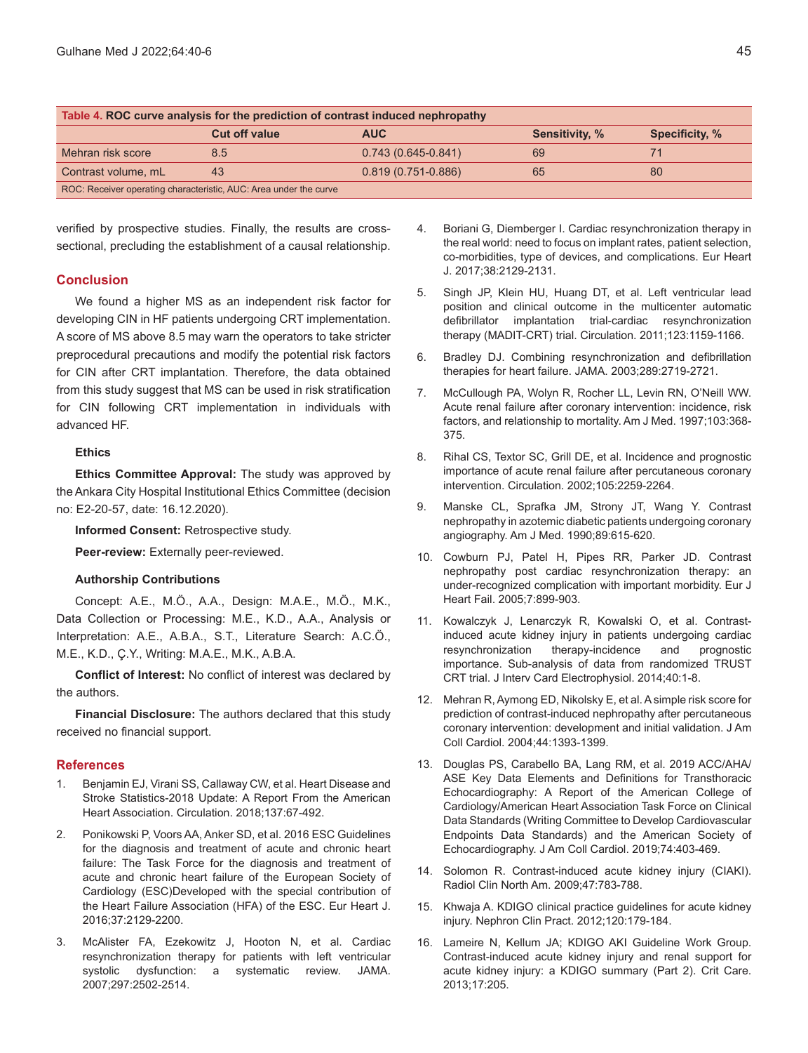| Table 4. ROC curve analysis for the prediction of contrast induced nephropathy |                      |                      |                       |                       |  |
|--------------------------------------------------------------------------------|----------------------|----------------------|-----------------------|-----------------------|--|
|                                                                                | <b>Cut off value</b> | <b>AUC</b>           | <b>Sensitivity, %</b> | <b>Specificity, %</b> |  |
| Mehran risk score                                                              | 8.5                  | $0.743(0.645-0.841)$ | 69                    |                       |  |
| Contrast volume, mL                                                            | 43                   | $0.819(0.751-0.886)$ | 65                    | 80                    |  |
| ROC: Receiver operating characteristic, AUC: Area under the curve              |                      |                      |                       |                       |  |

verified by prospective studies. Finally, the results are crosssectional, precluding the establishment of a causal relationship.

# **Conclusion**

We found a higher MS as an independent risk factor for developing CIN in HF patients undergoing CRT implementation. A score of MS above 8.5 may warn the operators to take stricter preprocedural precautions and modify the potential risk factors for CIN after CRT implantation. Therefore, the data obtained from this study suggest that MS can be used in risk stratification for CIN following CRT implementation in individuals with advanced HF.

### **Ethics**

**Ethics Committee Approval:** The study was approved by the Ankara City Hospital Institutional Ethics Committee (decision no: E2-20-57, date: 16.12.2020).

**Informed Consent:** Retrospective study.

**Peer-review:** Externally peer-reviewed.

### **Authorship Contributions**

Concept: A.E., M.Ö., A.A., Design: M.A.E., M.Ö., M.K., Data Collection or Processing: M.E., K.D., A.A., Analysis or Interpretation: A.E., A.B.A., S.T., Literature Search: A.C.Ö., M.E., K.D., Ç.Y., Writing: M.A.E., M.K., A.B.A.

**Conflict of Interest:** No conflict of interest was declared by the authors.

**Financial Disclosure:** The authors declared that this study received no financial support.

### **References**

- 1. Benjamin EJ, Virani SS, Callaway CW, et al. Heart Disease and Stroke Statistics-2018 Update: A Report From the American Heart Association. Circulation. 2018;137:67-492.
- 2. Ponikowski P, Voors AA, Anker SD, et al. 2016 ESC Guidelines for the diagnosis and treatment of acute and chronic heart failure: The Task Force for the diagnosis and treatment of acute and chronic heart failure of the European Society of Cardiology (ESC)Developed with the special contribution of the Heart Failure Association (HFA) of the ESC. Eur Heart J. 2016;37:2129-2200.
- 3. McAlister FA, Ezekowitz J, Hooton N, et al. Cardiac resynchronization therapy for patients with left ventricular systolic dysfunction: a systematic review. JAMA. 2007;297:2502-2514.
- 4. Boriani G, Diemberger I. Cardiac resynchronization therapy in the real world: need to focus on implant rates, patient selection, co-morbidities, type of devices, and complications. Eur Heart J. 2017;38:2129-2131.
- 5. Singh JP, Klein HU, Huang DT, et al. Left ventricular lead position and clinical outcome in the multicenter automatic defibrillator implantation trial-cardiac resynchronization therapy (MADIT-CRT) trial. Circulation. 2011;123:1159-1166.
- 6. Bradley DJ. Combining resynchronization and defibrillation therapies for heart failure. JAMA. 2003;289:2719-2721.
- 7. McCullough PA, Wolyn R, Rocher LL, Levin RN, O'Neill WW. Acute renal failure after coronary intervention: incidence, risk factors, and relationship to mortality. Am J Med. 1997;103:368- 375.
- 8. Rihal CS, Textor SC, Grill DE, et al. Incidence and prognostic importance of acute renal failure after percutaneous coronary intervention. Circulation. 2002;105:2259-2264.
- 9. Manske CL, Sprafka JM, Strony JT, Wang Y. Contrast nephropathy in azotemic diabetic patients undergoing coronary angiography. Am J Med. 1990;89:615-620.
- 10. Cowburn PJ, Patel H, Pipes RR, Parker JD. Contrast nephropathy post cardiac resynchronization therapy: an under-recognized complication with important morbidity. Eur J Heart Fail. 2005;7:899-903.
- 11. Kowalczyk J, Lenarczyk R, Kowalski O, et al. Contrastinduced acute kidney injury in patients undergoing cardiac resynchronization therapy-incidence and prognostic importance. Sub-analysis of data from randomized TRUST CRT trial. J Interv Card Electrophysiol. 2014;40:1-8.
- 12. Mehran R, Aymong ED, Nikolsky E, et al. A simple risk score for prediction of contrast-induced nephropathy after percutaneous coronary intervention: development and initial validation. J Am Coll Cardiol. 2004;44:1393-1399.
- 13. Douglas PS, Carabello BA, Lang RM, et al. 2019 ACC/AHA/ ASE Key Data Elements and Definitions for Transthoracic Echocardiography: A Report of the American College of Cardiology/American Heart Association Task Force on Clinical Data Standards (Writing Committee to Develop Cardiovascular Endpoints Data Standards) and the American Society of Echocardiography. J Am Coll Cardiol. 2019;74:403-469.
- 14. Solomon R. Contrast-induced acute kidney injury (CIAKI). Radiol Clin North Am. 2009;47:783-788.
- 15. Khwaja A. KDIGO clinical practice guidelines for acute kidney injury. Nephron Clin Pract. 2012;120:179-184.
- 16. Lameire N, Kellum JA; KDIGO AKI Guideline Work Group. Contrast-induced acute kidney injury and renal support for acute kidney injury: a KDIGO summary (Part 2). Crit Care. 2013;17:205.